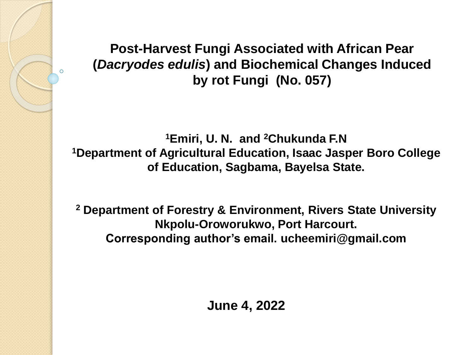**Post-Harvest Fungi Associated with African Pear (***Dacryodes edulis***) and Biochemical Changes Induced by rot Fungi (No. 057)**

**<sup>1</sup>Emiri, U. N. and <sup>2</sup>Chukunda F.N <sup>1</sup>Department of Agricultural Education, Isaac Jasper Boro College of Education, Sagbama, Bayelsa State.**

**<sup>2</sup> Department of Forestry & Environment, Rivers State University Nkpolu-Oroworukwo, Port Harcourt. Corresponding author's email. ucheemiri@gmail.com**

**June 4, 2022**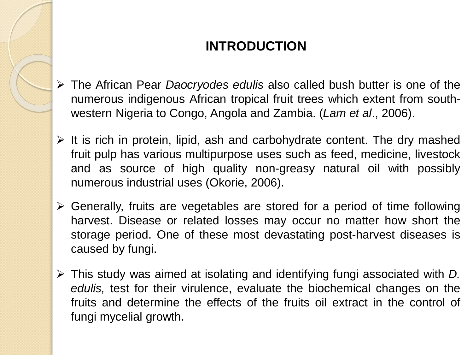# **INTRODUCTION**

- ➢ The African Pear *Daocryodes edulis* also called bush butter is one of the numerous indigenous African tropical fruit trees which extent from southwestern Nigeria to Congo, Angola and Zambia. (*Lam et al*., 2006).
- $\triangleright$  It is rich in protein, lipid, ash and carbohydrate content. The dry mashed fruit pulp has various multipurpose uses such as feed, medicine, livestock and as source of high quality non-greasy natural oil with possibly numerous industrial uses (Okorie, 2006).
- ➢ Generally, fruits are vegetables are stored for a period of time following harvest. Disease or related losses may occur no matter how short the storage period. One of these most devastating post-harvest diseases is caused by fungi.
- ➢ This study was aimed at isolating and identifying fungi associated with *D. edulis,* test for their virulence, evaluate the biochemical changes on the fruits and determine the effects of the fruits oil extract in the control of fungi mycelial growth.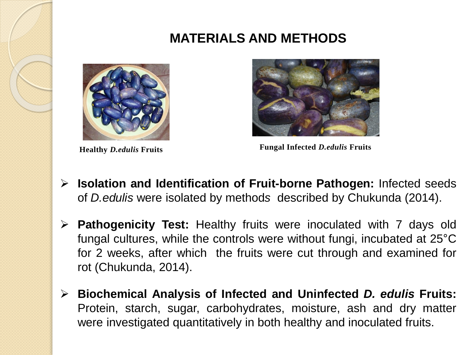# **MATERIALS AND METHODS**





**Healthy** *D.edulis* **Fruits Fungal Infected** *D.edulis* **Fruits** 

- ➢ **Isolation and Identification of Fruit-borne Pathogen:** Infected seeds of *D.edulis* were isolated by method*s* described by Chukunda (2014).
- ➢ **Pathogenicity Test:** Healthy fruits were inoculated with 7 days old fungal cultures, while the controls were without fungi, incubated at 25°C for 2 weeks, after which the fruits were cut through and examined for rot (Chukunda, 2014).
- ➢ **Biochemical Analysis of Infected and Uninfected** *D. edulis* **Fruits:** Protein, starch, sugar, carbohydrates, moisture, ash and dry matter were investigated quantitatively in both healthy and inoculated fruits.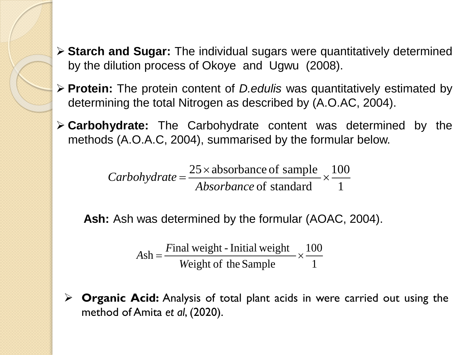- ➢ **Starch and Sugar:** The individual sugars were quantitatively determined by the dilution process of Okoye and Ugwu (2008).
- ➢ **Protein:** The protein content of *D.edulis* was quantitatively estimated by determining the total Nitrogen as described by (A.O.AC, 2004).
- ➢ **Carbohydrate:** The Carbohydrate content was determined by the methods (A.O.A.C, 2004), summarised by the formular below.

1 100 of standard  $\frac{25 \times \text{absorbance of sample}}{100 \times \text{25}} \times \frac{100}{100}$  $Carbohydrate = \frac{25 \times \text{absolute of sample}}{Absorbane \text{ of standard}} \times \frac{25 \times \text{dissor}}{25}$ 

**Ash:** Ash was determined by the formular (AOAC, 2004).

$$
Ash = \frac{Final weight - Initial weight}{Weight of the Sample} \times \frac{100}{1}
$$

➢ **Organic Acid:** Analysis of total plant acids in were carried out using the method of Amita *et al*, (2020).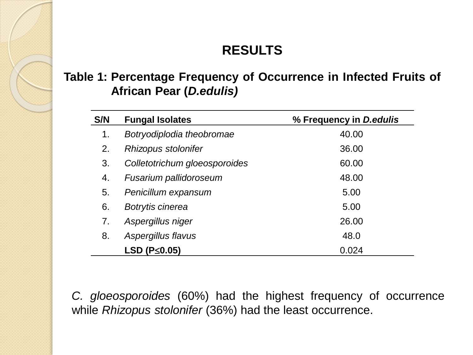## **RESULTS**

### **Table 1: Percentage Frequency of Occurrence in Infected Fruits of African Pear (***D.edulis)*

| S/N | <b>Fungal Isolates</b>        | % Frequency in D.edulis |
|-----|-------------------------------|-------------------------|
| 1.  | Botryodiplodia theobromae     | 40.00                   |
| 2.  | Rhizopus stolonifer           | 36.00                   |
| 3.  | Colletotrichum gloeosporoides | 60.00                   |
| 4.  | Fusarium pallidoroseum        | 48.00                   |
| 5.  | Penicillum expansum           | 5.00                    |
| 6.  | Botrytis cinerea              | 5.00                    |
| 7.  | Aspergillus niger             | 26.00                   |
| 8.  | Aspergillus flavus            | 48.0                    |
|     | $LSD$ (P $\leq$ 0.05)         | 0.024                   |

*C. gloeosporoides* (60%) had the highest frequency of occurrence while *Rhizopus stolonifer* (36%) had the least occurrence.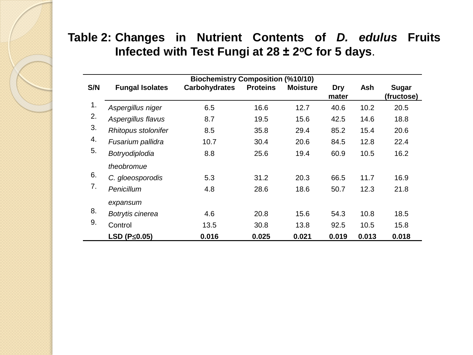### **Table 2: Changes in Nutrient Contents of** *D. edulus* **Fruits Infected with Test Fungi at 28 ± 2 <sup>o</sup>C for 5 days**.

|                            | <b>Biochemistry Composition (%10/10)</b> |                      |                 |                 |              |       |                            |
|----------------------------|------------------------------------------|----------------------|-----------------|-----------------|--------------|-------|----------------------------|
| S/N                        | <b>Fungal Isolates</b>                   | <b>Carbohydrates</b> | <b>Proteins</b> | <b>Moisture</b> | Dry<br>mater | Ash   | <b>Sugar</b><br>(fructose) |
| 1.<br>2.<br>3.<br>4.<br>5. | Aspergillus niger                        | 6.5                  | 16.6            | 12.7            | 40.6         | 10.2  | 20.5                       |
|                            | Aspergillus flavus                       | 8.7                  | 19.5            | 15.6            | 42.5         | 14.6  | 18.8                       |
|                            | Rhitopus stolonifer                      | 8.5                  | 35.8            | 29.4            | 85.2         | 15.4  | 20.6                       |
|                            | Fusarium pallidra                        | 10.7                 | 30.4            | 20.6            | 84.5         | 12.8  | 22.4                       |
|                            | Botryodiplodia                           | 8.8                  | 25.6            | 19.4            | 60.9         | 10.5  | 16.2                       |
| 6.<br>7.                   | theobromue                               |                      |                 |                 |              |       |                            |
|                            | C. gloeosporodis                         | 5.3                  | 31.2            | 20.3            | 66.5         | 11.7  | 16.9                       |
|                            | Penicillum                               | 4.8                  | 28.6            | 18.6            | 50.7         | 12.3  | 21.8                       |
| 8.<br>9.                   | expansum                                 |                      |                 |                 |              |       |                            |
|                            | Botrytis cinerea                         | 4.6                  | 20.8            | 15.6            | 54.3         | 10.8  | 18.5                       |
|                            | Control                                  | 13.5                 | 30.8            | 13.8            | 92.5         | 10.5  | 15.8                       |
|                            | LSD ( $P\leq 0.05$ )                     | 0.016                | 0.025           | 0.021           | 0.019        | 0.013 | 0.018                      |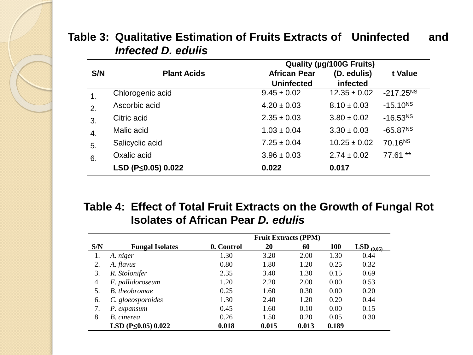|     |                           | Quality (µg/100G Fruits) |                  |                     |  |  |
|-----|---------------------------|--------------------------|------------------|---------------------|--|--|
| S/N | <b>Plant Acids</b>        | <b>African Pear</b>      | (D. edulis)      | t Value             |  |  |
|     |                           | <b>Uninfected</b>        | infected         |                     |  |  |
| 1.  | Chlorogenic acid          | $9.45 \pm 0.02$          | $12.35 \pm 0.02$ | $-217.25^{NS}$      |  |  |
| 2.  | Ascorbic acid             | $4.20 \pm 0.03$          | $8.10 \pm 0.03$  | $-15.10^{NS}$       |  |  |
| 3.  | Citric acid               | $2.35 \pm 0.03$          | $3.80 \pm 0.02$  | $-16.53NS$          |  |  |
| 4.  | Malic acid                | $1.03 \pm 0.04$          | $3.30 \pm 0.03$  | $-65.87NS$          |  |  |
| 5.  | Salicyclic acid           | $7.25 \pm 0.04$          | $10.25 \pm 0.02$ | 70.16 <sup>NS</sup> |  |  |
| 6.  | Oxalic acid               | $3.96 \pm 0.03$          | $2.74 \pm 0.02$  | 77.61 **            |  |  |
|     | LSD (P $\leq$ 0.05) 0.022 | 0.022                    | 0.017            |                     |  |  |

#### **Table 3: Qualitative Estimation of Fruits Extracts of Uninfected and** *Infected D. edulis*

#### **Table 4: Effect of Total Fruit Extracts on the Growth of Fungal Rot Isolates of African Pear** *D. edulis*

|     |                          | <b>Fruit Extracts (PPM)</b> |       |       |            |                           |
|-----|--------------------------|-----------------------------|-------|-------|------------|---------------------------|
| S/N | <b>Fungal Isolates</b>   | 0. Control                  | 20    | 60    | <b>100</b> | $\mathrm{LSD}_{\pm 0.05}$ |
|     | A. niger                 | 1.30                        | 3.20  | 2.00  | 1.30       | 0.44                      |
| 2.  | A. flavus                | 0.80                        | 1.80  | 1.20  | 0.25       | 0.32                      |
| 3.  | R. Stolonifer            | 2.35                        | 3.40  | 1.30  | 0.15       | 0.69                      |
| 4.  | F. pallidoroseum         | 1.20                        | 2.20  | 2.00  | 0.00       | 0.53                      |
| 5.  | <b>B.</b> theobromae     | 0.25                        | 1.60  | 0.30  | 0.00       | 0.20                      |
| 6.  | C. gloeosporoides        | 1.30                        | 2.40  | 1.20  | 0.20       | 0.44                      |
| 7.  | P. expansum              | 0.45                        | 1.60  | 0.10  | 0.00       | 0.15                      |
| 8.  | B. cinerea               | 0.26                        | 1.50  | 0.20  | 0.05       | 0.30                      |
|     | LSD $(P \le 0.05)$ 0.022 | 0.018                       | 0.015 | 0.013 | 0.189      |                           |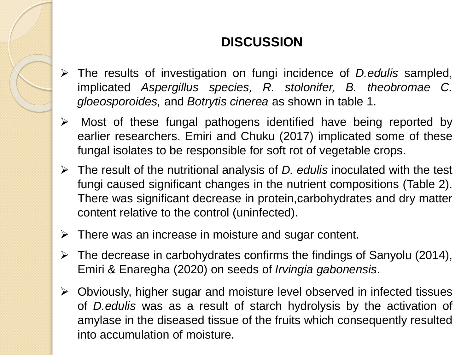# **DISCUSSION**

- ➢ The results of investigation on fungi incidence of *D.edulis* sampled, implicated *Aspergillus species, R. stolonifer, B. theobromae C. gloeosporoides,* and *Botrytis cinerea* as shown in table 1.
- ➢ Most of these fungal pathogens identified have being reported by earlier researchers. Emiri and Chuku (2017) implicated some of these fungal isolates to be responsible for soft rot of vegetable crops.
- ➢ The result of the nutritional analysis of *D. edulis* inoculated with the test fungi caused significant changes in the nutrient compositions (Table 2). There was significant decrease in protein,carbohydrates and dry matter content relative to the control (uninfected).
- $\triangleright$  There was an increase in moisture and sugar content.
- $\triangleright$  The decrease in carbohydrates confirms the findings of Sanyolu (2014), Emiri & Enaregha (2020) on seeds of *Irvingia gabonensis*.
- ➢ Obviously, higher sugar and moisture level observed in infected tissues of *D.edulis* was as a result of starch hydrolysis by the activation of amylase in the diseased tissue of the fruits which consequently resulted into accumulation of moisture.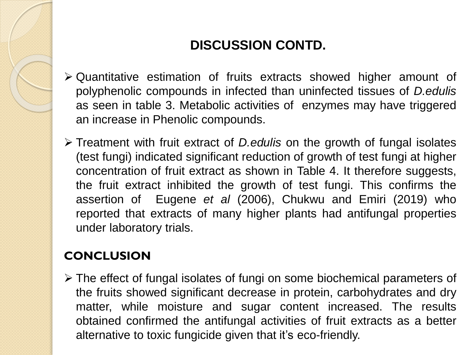# **DISCUSSION CONTD.**

- ➢ Quantitative estimation of fruits extracts showed higher amount of polyphenolic compounds in infected than uninfected tissues of *D.edulis* as seen in table 3. Metabolic activities of enzymes may have triggered an increase in Phenolic compounds.
- ➢ Treatment with fruit extract of *D.edulis* on the growth of fungal isolates (test fungi) indicated significant reduction of growth of test fungi at higher concentration of fruit extract as shown in Table 4. It therefore suggests, the fruit extract inhibited the growth of test fungi. This confirms the assertion of Eugene *et al* (2006), Chukwu and Emiri (2019) who reported that extracts of many higher plants had antifungal properties under laboratory trials.

### **CONCLUSION**

➢ The effect of fungal isolates of fungi on some biochemical parameters of the fruits showed significant decrease in protein, carbohydrates and dry matter, while moisture and sugar content increased. The results obtained confirmed the antifungal activities of fruit extracts as a better alternative to toxic fungicide given that it's eco-friendly.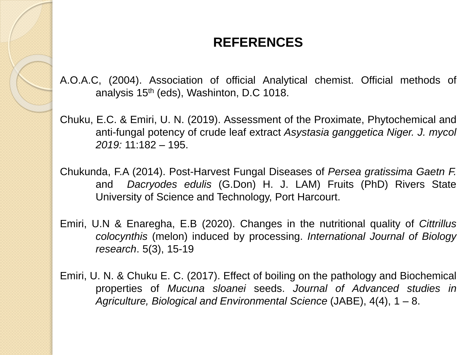## **REFERENCES**

A.O.A.C, (2004). Association of official Analytical chemist. Official methods of analysis 15th (eds), Washinton, D.C 1018.

Chuku, E.C. & Emiri, U. N. (2019). Assessment of the Proximate, Phytochemical and anti-fungal potency of crude leaf extract *Asystasia ganggetica Niger. J. mycol 2019:* 11:182 – 195.

Chukunda, F.A (2014). Post-Harvest Fungal Diseases of *Persea gratissima Gaetn F.* and *Dacryodes edulis* (G.Don) H. J. LAM) Fruits (PhD) Rivers State University of Science and Technology, Port Harcourt.

- Emiri, U.N & Enaregha, E.B (2020). Changes in the nutritional quality of *Cittrillus colocynthis* (melon) induced by processing. *International Journal of Biology research*. 5(3), 15-19
- Emiri, U. N. & Chuku E. C. (2017). Effect of boiling on the pathology and Biochemical properties of *Mucuna sloanei* seeds. *Journal of Advanced studies in Agriculture, Biological and Environmental Science* (JABE), 4(4), 1 – 8.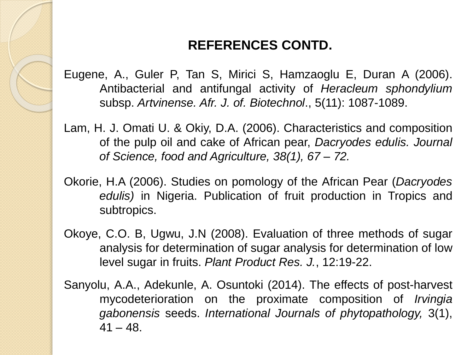## **REFERENCES CONTD.**

Eugene, A., Guler P, Tan S, Mirici S, Hamzaoglu E, Duran A (2006). Antibacterial and antifungal activity of *Heracleum sphondylium* subsp. *Artvinense. Afr. J. of. Biotechnol*., 5(11): 1087-1089.

Lam, H. J. Omati U. & Okiy, D.A. (2006). Characteristics and composition of the pulp oil and cake of African pear, *Dacryodes edulis. Journal of Science, food and Agriculture, 38(1), 67 – 72.*

Okorie, H.A (2006). Studies on pomology of the African Pear (*Dacryodes edulis)* in Nigeria. Publication of fruit production in Tropics and subtropics.

Okoye, C.O. B, Ugwu, J.N (2008). Evaluation of three methods of sugar analysis for determination of sugar analysis for determination of low level sugar in fruits. *Plant Product Res. J.*, 12:19-22.

Sanyolu, A.A., Adekunle, A. Osuntoki (2014). The effects of post-harvest mycodeterioration on the proximate composition of *Irvingia gabonensis* seeds. *International Journals of phytopathology,* 3(1),  $41 - 48$